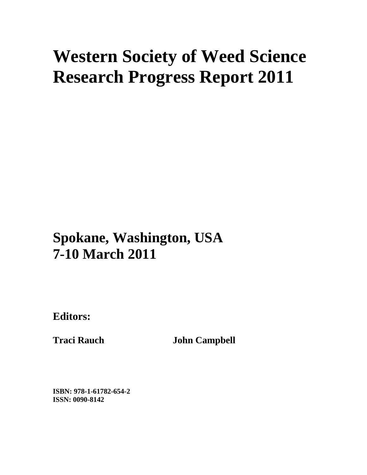# **Western Society of Weed Science Research Progress Report 2011**

# **Spokane, Washington, USA 7-10 March 2011**

**Editors:** 

**Traci Rauch John Campbell** 

**ISBN: 978-1-61782-654-2 ISSN: 0090-8142**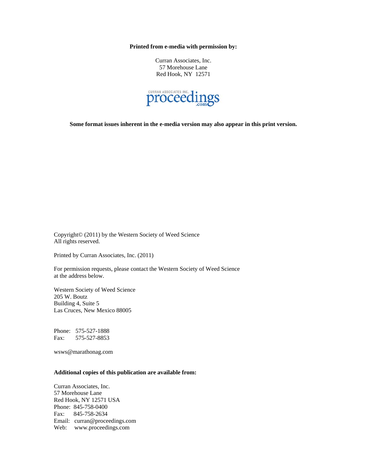**Printed from e-media with permission by:** 

Curran Associates, Inc. 57 Morehouse Lane Red Hook, NY 12571



**Some format issues inherent in the e-media version may also appear in this print version.** 

Copyright© (2011) by the Western Society of Weed Science All rights reserved.

Printed by Curran Associates, Inc. (2011)

For permission requests, please contact the Western Society of Weed Science at the address below.

Western Society of Weed Science 205 W. Boutz Building 4, Suite 5 Las Cruces, New Mexico 88005

Phone: 575-527-1888 Fax: 575-527-8853

wsws@marathonag.com

#### **Additional copies of this publication are available from:**

Curran Associates, Inc. 57 Morehouse Lane Red Hook, NY 12571 USA Phone: 845-758-0400 Fax: 845-758-2634 Email: curran@proceedings.com Web: www.proceedings.com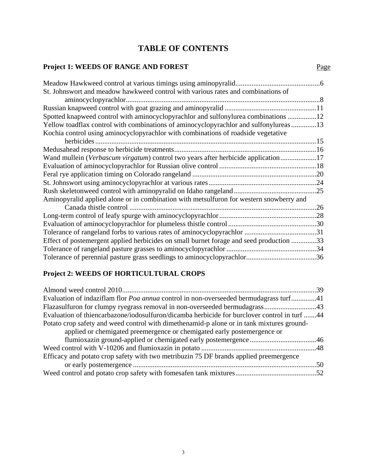## **TABLE OF CONTENTS**

#### **Project 1: WEEDS OF RANGE AND FOREST** Page

| Meadow Hawkweed control at various timings using aminopyralid                           |     |
|-----------------------------------------------------------------------------------------|-----|
| St. Johnswort and meadow hawkweed control with various rates and combinations of        |     |
|                                                                                         |     |
|                                                                                         |     |
| Spotted knapweed control with aminocyclopyrachlor and sulfonylurea combinations 12      |     |
| Yellow toadflax control with combinations of aminocyclopyrachlor and sulfonylureas13    |     |
| Kochia control using aminocyclopyrachlor with combinations of roadside vegetative       |     |
|                                                                                         |     |
|                                                                                         |     |
| Wand mullein (Verbascum virgatum) control two years after herbicide application17       |     |
|                                                                                         |     |
|                                                                                         |     |
|                                                                                         |     |
|                                                                                         |     |
| Aminopyralid applied alone or in combination with metsulfuron for western snowberry and |     |
|                                                                                         | .26 |
|                                                                                         |     |
|                                                                                         |     |
|                                                                                         |     |
| Effect of postemergent applied herbicides on small burnet forage and seed production 33 |     |
|                                                                                         |     |
|                                                                                         |     |

#### **Project 2: WEEDS OF HORTICULTURAL CROPS**

| Evaluation of indaziflam flor <i>Poa annua</i> control in non-overseeded bermudagrass turf41 |  |
|----------------------------------------------------------------------------------------------|--|
|                                                                                              |  |
| Evaluation of thiencarbazone/iodosulfuron/dicamba herbicide for burclover control in turf 44 |  |
| Potato crop safety and weed control with dimethenamid-p alone or in tank mixtures ground-    |  |
| applied or chemigated preemergence or chemigated early postemergence or                      |  |
|                                                                                              |  |
|                                                                                              |  |
| Efficacy and potato crop safety with two metribuzin 75 DF brands applied preemergence        |  |
|                                                                                              |  |
|                                                                                              |  |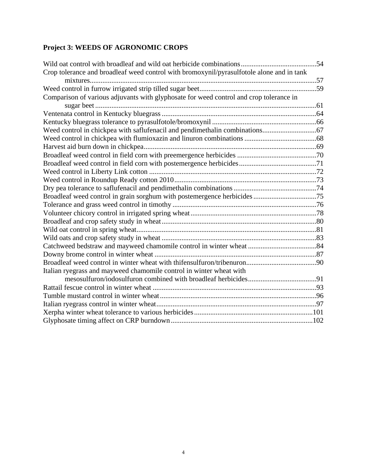### **Project 3: WEEDS OF AGRONOMIC CROPS**

| Crop tolerance and broadleaf weed control with bromoxynil/pyrasulfotole alone and in tank |  |
|-------------------------------------------------------------------------------------------|--|
|                                                                                           |  |
|                                                                                           |  |
| Comparison of various adjuvants with glyphosate for weed control and crop tolerance in    |  |
|                                                                                           |  |
|                                                                                           |  |
|                                                                                           |  |
|                                                                                           |  |
|                                                                                           |  |
|                                                                                           |  |
|                                                                                           |  |
|                                                                                           |  |
|                                                                                           |  |
|                                                                                           |  |
|                                                                                           |  |
|                                                                                           |  |
|                                                                                           |  |
|                                                                                           |  |
|                                                                                           |  |
|                                                                                           |  |
|                                                                                           |  |
|                                                                                           |  |
|                                                                                           |  |
|                                                                                           |  |
| Italian ryegrass and mayweed chamomile control in winter wheat with                       |  |
|                                                                                           |  |
|                                                                                           |  |
|                                                                                           |  |
|                                                                                           |  |
|                                                                                           |  |
|                                                                                           |  |
|                                                                                           |  |